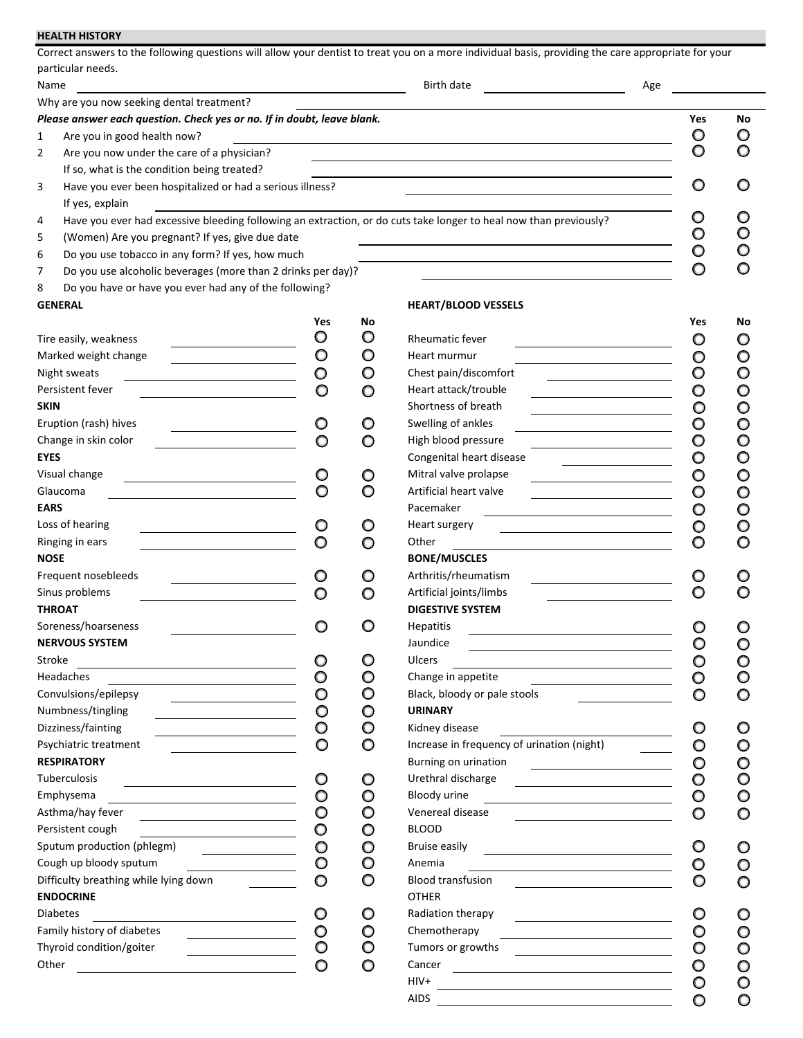|                                                                           |              |         | Correct answers to the following questions will allow your dentist to treat you on a more individual basis, providing the care appropriate for your |     |                    |         |
|---------------------------------------------------------------------------|--------------|---------|-----------------------------------------------------------------------------------------------------------------------------------------------------|-----|--------------------|---------|
| particular needs.                                                         |              |         |                                                                                                                                                     |     |                    |         |
| Name                                                                      |              |         | Birth date                                                                                                                                          | Age |                    |         |
| Why are you now seeking dental treatment?                                 |              |         |                                                                                                                                                     |     |                    |         |
| Please answer each question. Check yes or no. If in doubt, leave blank.   |              |         |                                                                                                                                                     |     | Yes                | No      |
| Are you in good health now?<br>1                                          |              |         |                                                                                                                                                     |     |                    | O       |
| 2<br>Are you now under the care of a physician?                           |              |         |                                                                                                                                                     |     | O                  | O       |
| If so, what is the condition being treated?                               |              |         |                                                                                                                                                     |     |                    |         |
| Have you ever been hospitalized or had a serious illness?<br>3            |              |         |                                                                                                                                                     |     | O                  |         |
| If yes, explain                                                           |              |         |                                                                                                                                                     |     |                    |         |
| 4                                                                         |              |         | Have you ever had excessive bleeding following an extraction, or do cuts take longer to heal now than previously?                                   |     |                    | O       |
| (Women) Are you pregnant? If yes, give due date<br>5                      |              |         |                                                                                                                                                     |     |                    | O       |
| Do you use tobacco in any form? If yes, how much<br>6                     |              |         |                                                                                                                                                     |     | O                  |         |
| Do you use alcoholic beverages (more than 2 drinks per day)?<br>7         |              |         |                                                                                                                                                     |     | O                  |         |
| Do you have or have you ever had any of the following?<br>8               |              |         |                                                                                                                                                     |     |                    |         |
| <b>GENERAL</b>                                                            |              |         | <b>HEART/BLOOD VESSELS</b>                                                                                                                          |     |                    |         |
|                                                                           | Yes          | No      |                                                                                                                                                     |     | Yes                | No      |
| Tire easily, weakness                                                     | O            | O       | <b>Rheumatic fever</b>                                                                                                                              |     | O                  | O       |
| Marked weight change                                                      | O            | O       | Heart murmur                                                                                                                                        |     | O                  | O       |
| Night sweats                                                              | O            | O       | Chest pain/discomfort                                                                                                                               |     | O                  | $\circ$ |
| Persistent fever                                                          | O            | O       | Heart attack/trouble                                                                                                                                |     | O                  | O       |
| <b>SKIN</b>                                                               |              |         | Shortness of breath                                                                                                                                 |     | O                  | O       |
| Eruption (rash) hives                                                     | O            | O       | Swelling of ankles                                                                                                                                  |     | O                  | $\circ$ |
| Change in skin color                                                      | O            | O       | High blood pressure                                                                                                                                 |     | O                  | $\circ$ |
| <b>EYES</b>                                                               |              |         | Congenital heart disease                                                                                                                            |     | O                  | O       |
| Visual change                                                             | O            | O       | Mitral valve prolapse                                                                                                                               |     | O                  | O       |
| Glaucoma                                                                  | O            | O       | Artificial heart valve                                                                                                                              |     | O                  | O       |
| <b>EARS</b>                                                               |              |         | Pacemaker                                                                                                                                           |     | O                  | O       |
| Loss of hearing                                                           |              | O       | Heart surgery                                                                                                                                       |     | O                  | O       |
| Ringing in ears                                                           |              |         | Other                                                                                                                                               |     |                    |         |
| <b>NOSE</b>                                                               |              |         | <b>BONE/MUSCLES</b>                                                                                                                                 |     |                    |         |
| Frequent nosebleeds                                                       |              |         | Arthritis/rheumatism                                                                                                                                |     |                    |         |
| Sinus problems                                                            | O            |         | Artificial joints/limbs                                                                                                                             |     |                    |         |
| <b>THROAT</b>                                                             |              |         | <b>DIGESTIVE SYSTEM</b>                                                                                                                             |     |                    |         |
| Soreness/hoarseness                                                       |              | O       | <b>Hepatitis</b>                                                                                                                                    |     |                    |         |
| <b>NERVOUS SYSTEM</b>                                                     |              |         | Jaundice                                                                                                                                            |     | O                  | $\circ$ |
| Stroke                                                                    | O            | O       | Ulcers                                                                                                                                              |     | O                  | $\circ$ |
| <u> 1989 - Johann Stoff, fransk politik (f. 1989)</u><br><b>Headaches</b> | O            | O       | <u> 1989 - Johann Barn, mars ann an t-Amhain Aonaich an t-Aonaich an t-Aonaich ann an t-Aonaich ann an t-Aonaich</u><br>Change in appetite          |     | $\circ$            | $\circ$ |
| Convulsions/epilepsy                                                      | $\circ$      | O       | Black, bloody or pale stools                                                                                                                        |     | O                  | $\circ$ |
| Numbness/tingling                                                         | O            | O       | <b>URINARY</b>                                                                                                                                      |     |                    |         |
| Dizziness/fainting                                                        | O            | O       | Kidney disease                                                                                                                                      |     | O                  | O       |
| Psychiatric treatment                                                     | O            | $\circ$ | Increase in frequency of urination (night)                                                                                                          |     | O                  | $\circ$ |
| <b>RESPIRATORY</b>                                                        |              |         | Burning on urination                                                                                                                                |     | $\circ$            | $\circ$ |
| Tuberculosis                                                              | $\circ$      | O       | Urethral discharge                                                                                                                                  |     | O                  | $\circ$ |
| <u> 1980 - Johann Barnett, fransk politik (</u><br>Emphysema              | $\circ$      | $\circ$ | Bloody urine                                                                                                                                        |     | $\circ$            | $\circ$ |
| Asthma/hay fever                                                          | O            | O       | Venereal disease                                                                                                                                    |     | O                  | $\circ$ |
| Persistent cough<br><u> 1989 - Andrea Station, amerikansk politik (</u>   | O            | O       | <b>BLOOD</b>                                                                                                                                        |     |                    |         |
| Sputum production (phlegm)                                                | $\circ$      | O       | <b>Bruise easily</b>                                                                                                                                |     | O                  | O       |
| <u> The Common State (1989)</u><br>Cough up bloody sputum                 | O            | O       | Anemia                                                                                                                                              |     |                    |         |
| Difficulty breathing while lying down                                     | O            | O       | <b>Blood transfusion</b>                                                                                                                            |     | O                  | O<br>O  |
| <b>ENDOCRINE</b>                                                          |              |         | <b>OTHER</b>                                                                                                                                        |     |                    |         |
| <b>Diabetes</b>                                                           | O            | O       | Radiation therapy                                                                                                                                   |     | O                  |         |
| Family history of diabetes                                                |              |         | Chemotherapy                                                                                                                                        |     |                    | O       |
| Thyroid condition/goiter                                                  | $\circ$<br>O | O<br>O  | <u> 1989 - Johann Barbara, martin amerikan ba</u><br>Tumors or growths                                                                              |     | $\circ$<br>$\circ$ | O       |
| <u> Alexandria (m. 1858)</u><br>Other                                     |              |         | <u> Liste de la construcción de la construcción de la construcción de la construcción de la construcción de la c</u><br>Cancer                      |     |                    | $\circ$ |
|                                                                           | O            | $\circ$ | $HIV+$                                                                                                                                              |     | $\circ$            | $\circ$ |
|                                                                           |              |         |                                                                                                                                                     |     | $\circ$            | $\circ$ |
|                                                                           |              |         | AIDS                                                                                                                                                |     | O                  | $\circ$ |